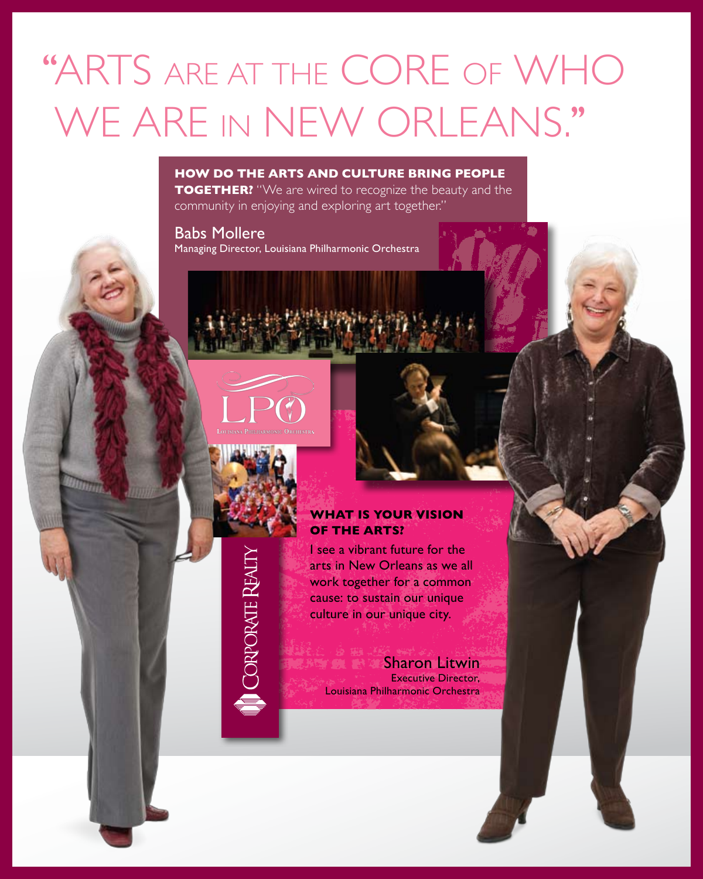# "ARTS ARE AT THE CORE OF WHO WE ARE IN NEW ORLEANS."

#### **How do the arts and culture bring people**

**TOGETHER?** "We are wired to recognize the beauty and the community in enjoying and exploring art together."

Babs Mollere Managing Director, Louisiana Philharmonic Orchestra





### **What is your vision of the arts?**

I see a vibrant future for the arts in New Orleans as we all work together for a common cause: to sustain our unique culture in our unique city.

Sharon Litwin<br>Sharon Litwin Executive Director, Louisiana Philharmonic Orchestra